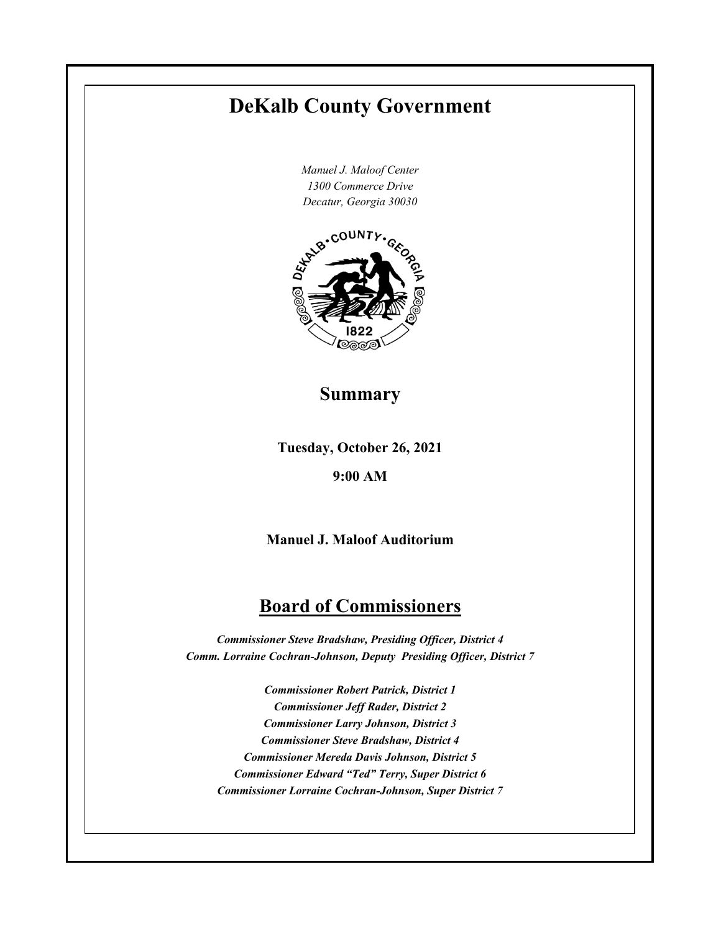# **DeKalb County Government**

*Manuel J. Maloof Center 1300 Commerce Drive*



# **Summary**

**Tuesday, October 26, 2021**

## **9:00 AM**

**Manuel J. Maloof Auditorium**

# **Board of Commissioners**

*Commissioner Steve Bradshaw, Presiding Officer, District 4 Comm. Lorraine Cochran-Johnson, Deputy Presiding Officer, District 7* 

*Commissioner Robert Patrick, District 1 Commissioner Jeff Rader, District 2 Commissioner Larry Johnson, District 3 Commissioner Steve Bradshaw, District 4 Commissioner Mereda Davis Johnson, District 5 Commissioner Edward "Ted" Terry, Super District 6 Commissioner Lorraine Cochran-Johnson, Super District 7*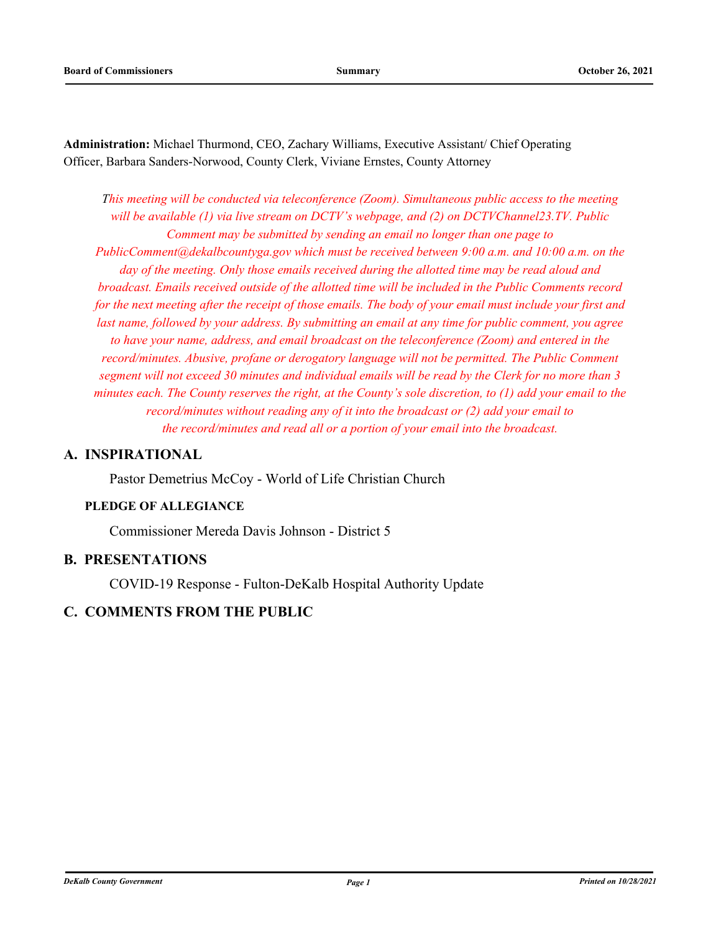**Administration:** Michael Thurmond, CEO, Zachary Williams, Executive Assistant/ Chief Operating Officer, Barbara Sanders-Norwood, County Clerk, Viviane Ernstes, County Attorney

*This meeting will be conducted via teleconference (Zoom). Simultaneous public access to the meeting will be available (1) via live stream on DCTV's webpage, and (2) on DCTVChannel23.TV. Public Comment may be submitted by sending an email no longer than one page to PublicComment@dekalbcountyga.gov which must be received between 9:00 a.m. and 10:00 a.m. on the day of the meeting. Only those emails received during the allotted time may be read aloud and broadcast. Emails received outside of the allotted time will be included in the Public Comments record for the next meeting after the receipt of those emails. The body of your email must include your first and last name, followed by your address. By submitting an email at any time for public comment, you agree to have your name, address, and email broadcast on the teleconference (Zoom) and entered in the record/minutes. Abusive, profane or derogatory language will not be permitted. The Public Comment segment will not exceed 30 minutes and individual emails will be read by the Clerk for no more than 3 minutes each. The County reserves the right, at the County's sole discretion, to (1) add your email to the record/minutes without reading any of it into the broadcast or (2) add your email to the record/minutes and read all or a portion of your email into the broadcast.*

## **A. INSPIRATIONAL**

Pastor Demetrius McCoy - World of Life Christian Church

## **PLEDGE OF ALLEGIANCE**

Commissioner Mereda Davis Johnson - District 5

## **B. PRESENTATIONS**

COVID-19 Response - Fulton-DeKalb Hospital Authority Update

## **C. COMMENTS FROM THE PUBLIC**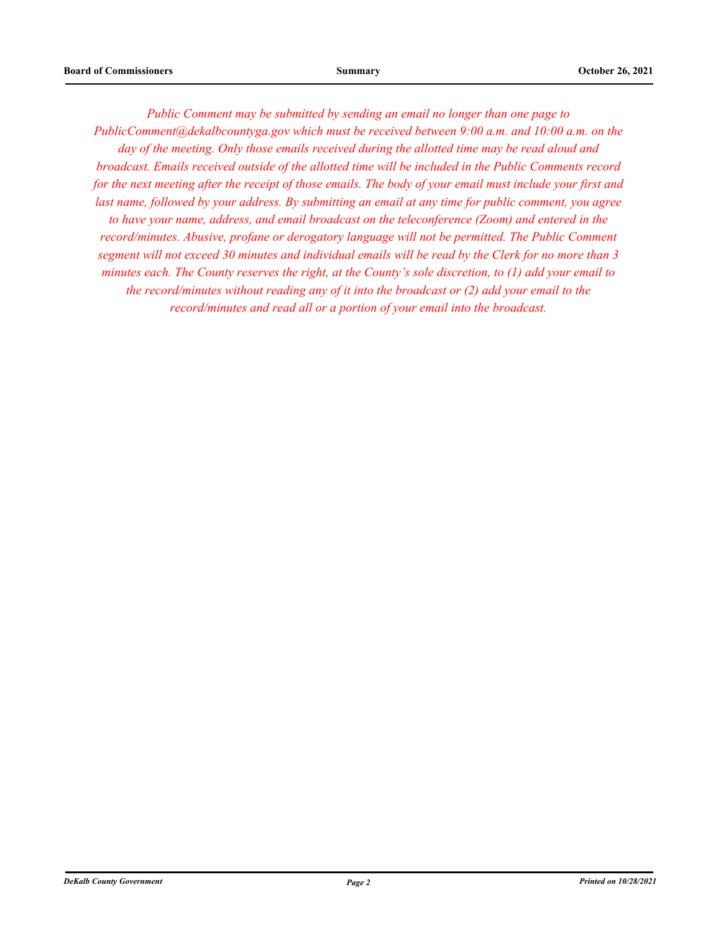*Public Comment may be submitted by sending an email no longer than one page to PublicComment@dekalbcountyga.gov which must be received between 9:00 a.m. and 10:00 a.m. on the day of the meeting. Only those emails received during the allotted time may be read aloud and broadcast. Emails received outside of the allotted time will be included in the Public Comments record for the next meeting after the receipt of those emails. The body of your email must include your first and last name, followed by your address. By submitting an email at any time for public comment, you agree to have your name, address, and email broadcast on the teleconference (Zoom) and entered in the record/minutes. Abusive, profane or derogatory language will not be permitted. The Public Comment segment will not exceed 30 minutes and individual emails will be read by the Clerk for no more than 3 minutes each. The County reserves the right, at the County's sole discretion, to (1) add your email to the record/minutes without reading any of it into the broadcast or (2) add your email to the record/minutes and read all or a portion of your email into the broadcast.*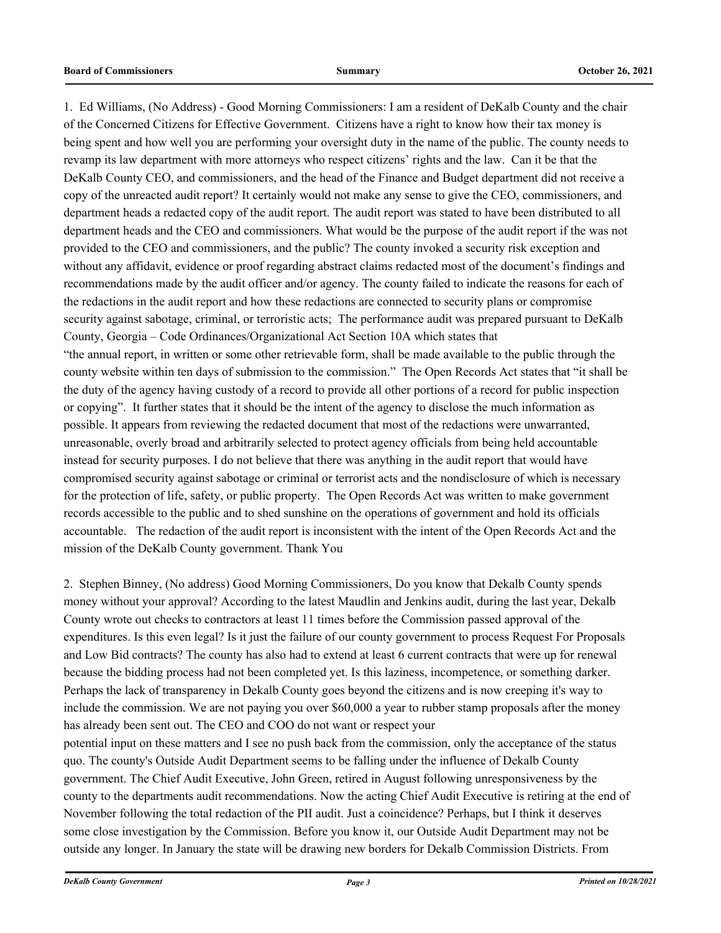1. Ed Williams, (No Address) - Good Morning Commissioners: I am a resident of DeKalb County and the chair of the Concerned Citizens for Effective Government. Citizens have a right to know how their tax money is being spent and how well you are performing your oversight duty in the name of the public. The county needs to revamp its law department with more attorneys who respect citizens' rights and the law. Can it be that the DeKalb County CEO, and commissioners, and the head of the Finance and Budget department did not receive a copy of the unreacted audit report? It certainly would not make any sense to give the CEO, commissioners, and department heads a redacted copy of the audit report. The audit report was stated to have been distributed to all department heads and the CEO and commissioners. What would be the purpose of the audit report if the was not provided to the CEO and commissioners, and the public? The county invoked a security risk exception and without any affidavit, evidence or proof regarding abstract claims redacted most of the document's findings and recommendations made by the audit officer and/or agency. The county failed to indicate the reasons for each of the redactions in the audit report and how these redactions are connected to security plans or compromise security against sabotage, criminal, or terroristic acts; The performance audit was prepared pursuant to DeKalb County, Georgia – Code Ordinances/Organizational Act Section 10A which states that "the annual report, in written or some other retrievable form, shall be made available to the public through the county website within ten days of submission to the commission." The Open Records Act states that "it shall be the duty of the agency having custody of a record to provide all other portions of a record for public inspection or copying". It further states that it should be the intent of the agency to disclose the much information as possible. It appears from reviewing the redacted document that most of the redactions were unwarranted, unreasonable, overly broad and arbitrarily selected to protect agency officials from being held accountable instead for security purposes. I do not believe that there was anything in the audit report that would have compromised security against sabotage or criminal or terrorist acts and the nondisclosure of which is necessary for the protection of life, safety, or public property. The Open Records Act was written to make government records accessible to the public and to shed sunshine on the operations of government and hold its officials accountable. The redaction of the audit report is inconsistent with the intent of the Open Records Act and the mission of the DeKalb County government. Thank You

2. Stephen Binney, (No address) Good Morning Commissioners, Do you know that Dekalb County spends money without your approval? According to the latest Maudlin and Jenkins audit, during the last year, Dekalb County wrote out checks to contractors at least 11 times before the Commission passed approval of the expenditures. Is this even legal? Is it just the failure of our county government to process Request For Proposals and Low Bid contracts? The county has also had to extend at least 6 current contracts that were up for renewal because the bidding process had not been completed yet. Is this laziness, incompetence, or something darker. Perhaps the lack of transparency in Dekalb County goes beyond the citizens and is now creeping it's way to include the commission. We are not paying you over \$60,000 a year to rubber stamp proposals after the money has already been sent out. The CEO and COO do not want or respect your potential input on these matters and I see no push back from the commission, only the acceptance of the status quo. The county's Outside Audit Department seems to be falling under the influence of Dekalb County

government. The Chief Audit Executive, John Green, retired in August following unresponsiveness by the county to the departments audit recommendations. Now the acting Chief Audit Executive is retiring at the end of November following the total redaction of the PII audit. Just a coincidence? Perhaps, but I think it deserves some close investigation by the Commission. Before you know it, our Outside Audit Department may not be outside any longer. In January the state will be drawing new borders for Dekalb Commission Districts. From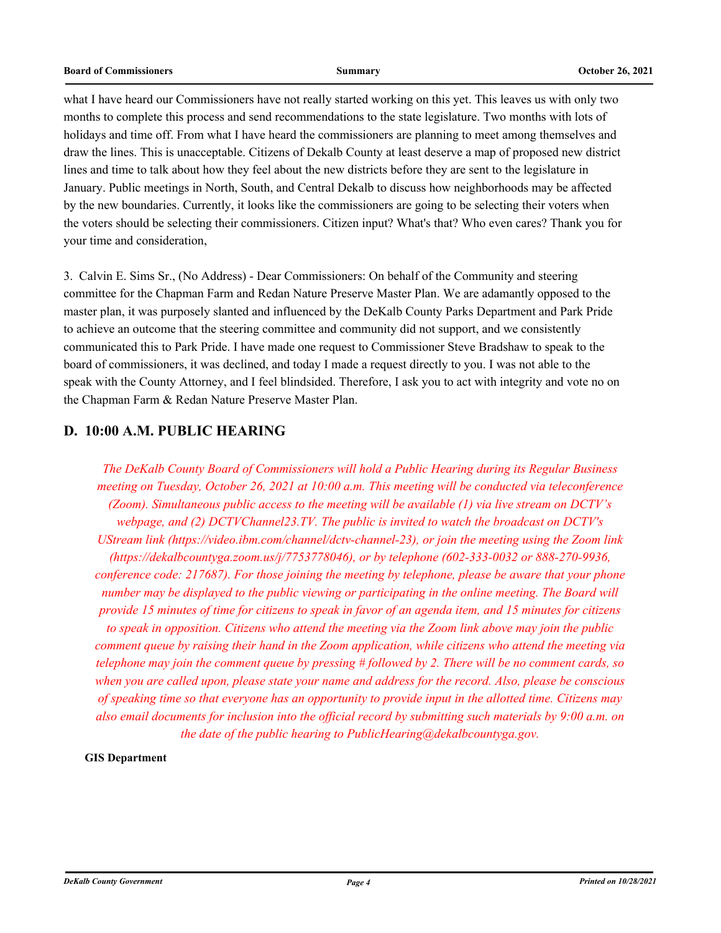what I have heard our Commissioners have not really started working on this yet. This leaves us with only two months to complete this process and send recommendations to the state legislature. Two months with lots of holidays and time off. From what I have heard the commissioners are planning to meet among themselves and draw the lines. This is unacceptable. Citizens of Dekalb County at least deserve a map of proposed new district lines and time to talk about how they feel about the new districts before they are sent to the legislature in January. Public meetings in North, South, and Central Dekalb to discuss how neighborhoods may be affected by the new boundaries. Currently, it looks like the commissioners are going to be selecting their voters when the voters should be selecting their commissioners. Citizen input? What's that? Who even cares? Thank you for your time and consideration,

3. Calvin E. Sims Sr., (No Address) - Dear Commissioners: On behalf of the Community and steering committee for the Chapman Farm and Redan Nature Preserve Master Plan. We are adamantly opposed to the master plan, it was purposely slanted and influenced by the DeKalb County Parks Department and Park Pride to achieve an outcome that the steering committee and community did not support, and we consistently communicated this to Park Pride. I have made one request to Commissioner Steve Bradshaw to speak to the board of commissioners, it was declined, and today I made a request directly to you. I was not able to the speak with the County Attorney, and I feel blindsided. Therefore, I ask you to act with integrity and vote no on the Chapman Farm & Redan Nature Preserve Master Plan.

## **D. 10:00 A.M. PUBLIC HEARING**

*The DeKalb County Board of Commissioners will hold a Public Hearing during its Regular Business meeting on Tuesday, October 26, 2021 at 10:00 a.m. This meeting will be conducted via teleconference (Zoom). Simultaneous public access to the meeting will be available (1) via live stream on DCTV's webpage, and (2) DCTVChannel23.TV. The public is invited to watch the broadcast on DCTV's UStream link (https://video.ibm.com/channel/dctv-channel-23), or join the meeting using the Zoom link (https://dekalbcountyga.zoom.us/j/7753778046), or by telephone (602-333-0032 or 888-270-9936, conference code: 217687). For those joining the meeting by telephone, please be aware that your phone number may be displayed to the public viewing or participating in the online meeting. The Board will provide 15 minutes of time for citizens to speak in favor of an agenda item, and 15 minutes for citizens to speak in opposition. Citizens who attend the meeting via the Zoom link above may join the public comment queue by raising their hand in the Zoom application, while citizens who attend the meeting via telephone may join the comment queue by pressing # followed by 2. There will be no comment cards, so when you are called upon, please state your name and address for the record. Also, please be conscious of speaking time so that everyone has an opportunity to provide input in the allotted time. Citizens may also email documents for inclusion into the official record by submitting such materials by 9:00 a.m. on the date of the public hearing to PublicHearing@dekalbcountyga.gov.*

### **GIS Department**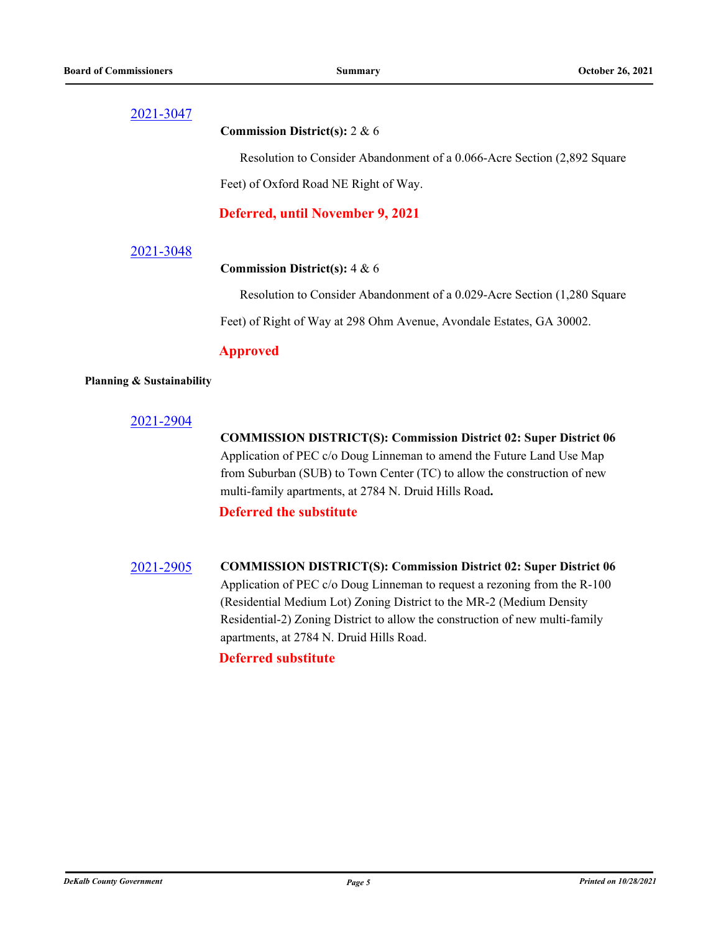### **Commission District(s):** 2 & 6

Resolution to Consider Abandonment of a 0.066-Acre Section (2,892 Square

Feet) of Oxford Road NE Right of Way.

**Deferred, until November 9, 2021**

### [2021-3048](http://dekalbcountyga.legistar.com/gateway.aspx?m=l&id=/matter.aspx?key=9284)

### **Commission District(s):** 4 & 6

Resolution to Consider Abandonment of a 0.029-Acre Section (1,280 Square Feet) of Right of Way at 298 Ohm Avenue, Avondale Estates, GA 30002.

### **Approved**

### **Planning & Sustainability**

### [2021-2904](http://dekalbcountyga.legistar.com/gateway.aspx?m=l&id=/matter.aspx?key=9140)

**COMMISSION DISTRICT(S): Commission District 02: Super District 06** Application of PEC c/o Doug Linneman to amend the Future Land Use Map from Suburban (SUB) to Town Center (TC) to allow the construction of new multi-family apartments, at 2784 N. Druid Hills Road**.**

## **Deferred the substitute**

[2021-2905](http://dekalbcountyga.legistar.com/gateway.aspx?m=l&id=/matter.aspx?key=9141) **COMMISSION DISTRICT(S): Commission District 02: Super District 06** Application of PEC c/o Doug Linneman to request a rezoning from the R-100 (Residential Medium Lot) Zoning District to the MR-2 (Medium Density Residential-2) Zoning District to allow the construction of new multi-family apartments, at 2784 N. Druid Hills Road.

## **Deferred substitute**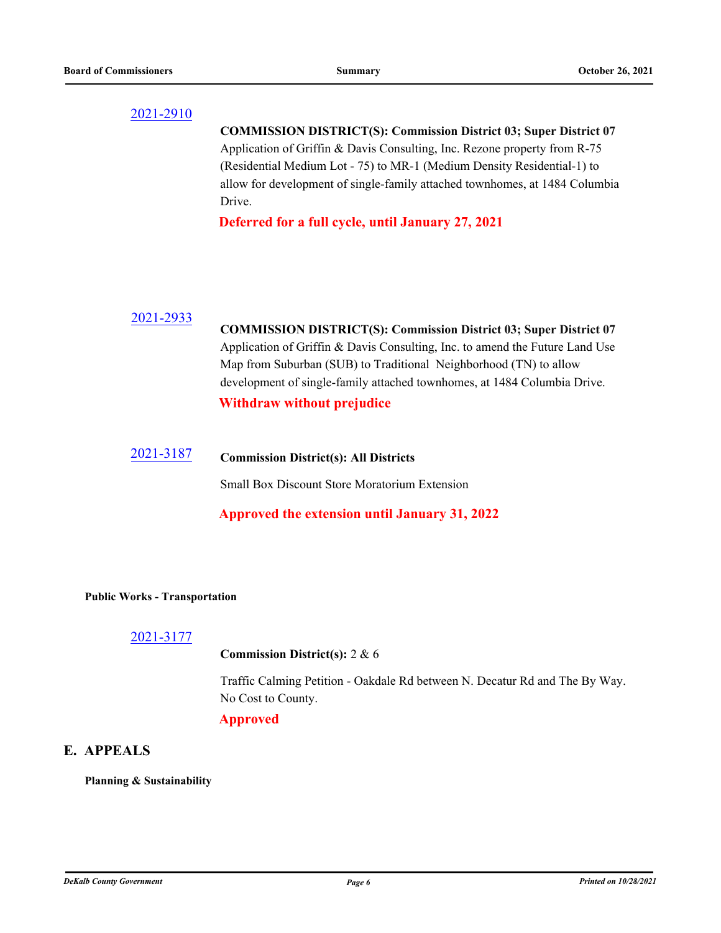| 2021-2910 | <b>COMMISSION DISTRICT(S): Commission District 03; Super District 07</b><br>Application of Griffin & Davis Consulting, Inc. Rezone property from R-75<br>(Residential Medium Lot - 75) to MR-1 (Medium Density Residential-1) to<br>allow for development of single-family attached townhomes, at 1484 Columbia |
|-----------|-----------------------------------------------------------------------------------------------------------------------------------------------------------------------------------------------------------------------------------------------------------------------------------------------------------------|
|           | Drive.<br>Deferred for a full cycle, until January 27, 2021                                                                                                                                                                                                                                                     |
|           |                                                                                                                                                                                                                                                                                                                 |
| 2021-2933 | <b>COMMISSION DISTRICT(S): Commission District 03; Super District 07</b><br>Application of Griffin & Davis Consulting, Inc. to amend the Future Land Use<br>Map from Suburban (SUB) to Traditional Neighborhood (TN) to allow<br>development of single-family attached townhomes, at 1484 Columbia Drive.       |
| 2021-3187 | <b>Withdraw without prejudice</b><br><b>Commission District(s): All Districts</b>                                                                                                                                                                                                                               |

Small Box Discount Store Moratorium Extension

## **Approved the extension until January 31, 2022**

## **Public Works - Transportation**

[2021-3177](http://dekalbcountyga.legistar.com/gateway.aspx?m=l&id=/matter.aspx?key=9413)

## **Commission District(s):** 2 & 6

Traffic Calming Petition - Oakdale Rd between N. Decatur Rd and The By Way. No Cost to County.

## **Approved**

# **E. APPEALS**

**Planning & Sustainability**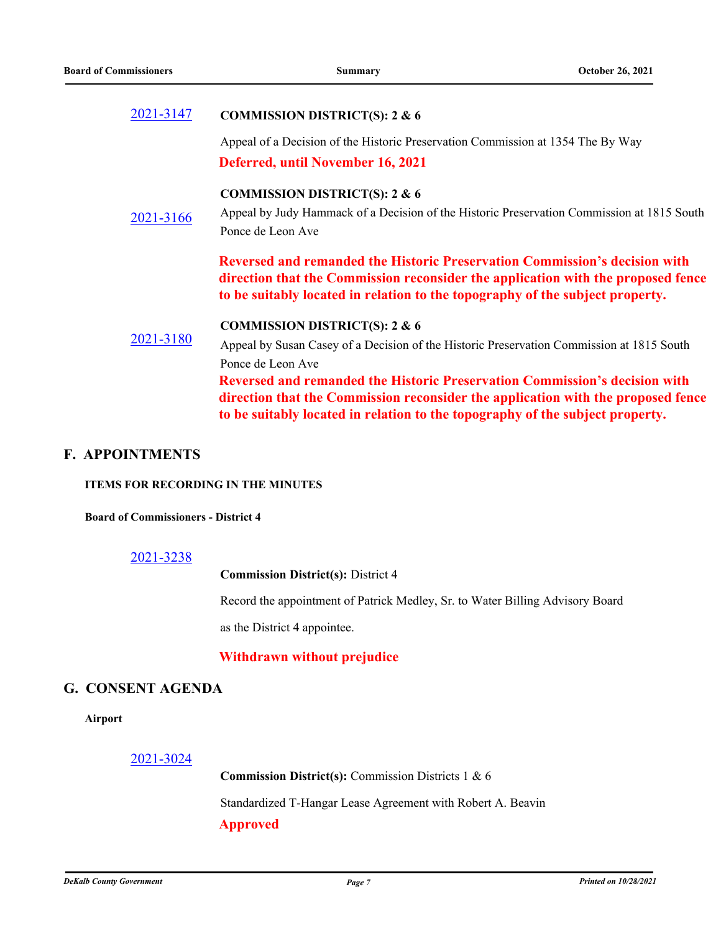#### [2021-3147](http://dekalbcountyga.legistar.com/gateway.aspx?m=l&id=/matter.aspx?key=9383) **COMMISSION DISTRICT(S): 2 & 6**

Appeal of a Decision of the Historic Preservation Commission at 1354 The By Way **Deferred, until November 16, 2021**

## **COMMISSION DISTRICT(S): 2 & 6**

[2021-3166](http://dekalbcountyga.legistar.com/gateway.aspx?m=l&id=/matter.aspx?key=9402) Appeal by Judy Hammack of a Decision of the Historic Preservation Commission at 1815 South Ponce de Leon Ave

> **Reversed and remanded the Historic Preservation Commission's decision with direction that the Commission reconsider the application with the proposed fence to be suitably located in relation to the topography of the subject property.**

### **COMMISSION DISTRICT(S): 2 & 6**

[2021-3180](http://dekalbcountyga.legistar.com/gateway.aspx?m=l&id=/matter.aspx?key=9416) Appeal by Susan Casey of a Decision of the Historic Preservation Commission at 1815 South Ponce de Leon Ave **Reversed and remanded the Historic Preservation Commission's decision with direction that the Commission reconsider the application with the proposed fence to be suitably located in relation to the topography of the subject property.**

## **F. APPOINTMENTS**

### **ITEMS FOR RECORDING IN THE MINUTES**

### **Board of Commissioners - District 4**

### [2021-3238](http://dekalbcountyga.legistar.com/gateway.aspx?m=l&id=/matter.aspx?key=9474)

**Commission District(s):** District 4

Record the appointment of Patrick Medley, Sr. to Water Billing Advisory Board

as the District 4 appointee.

## **Withdrawn without prejudice**

## **G. CONSENT AGENDA**

**Airport**

### [2021-3024](http://dekalbcountyga.legistar.com/gateway.aspx?m=l&id=/matter.aspx?key=9260)

**Commission District(s):** Commission Districts 1 & 6 Standardized T-Hangar Lease Agreement with Robert A. Beavin **Approved**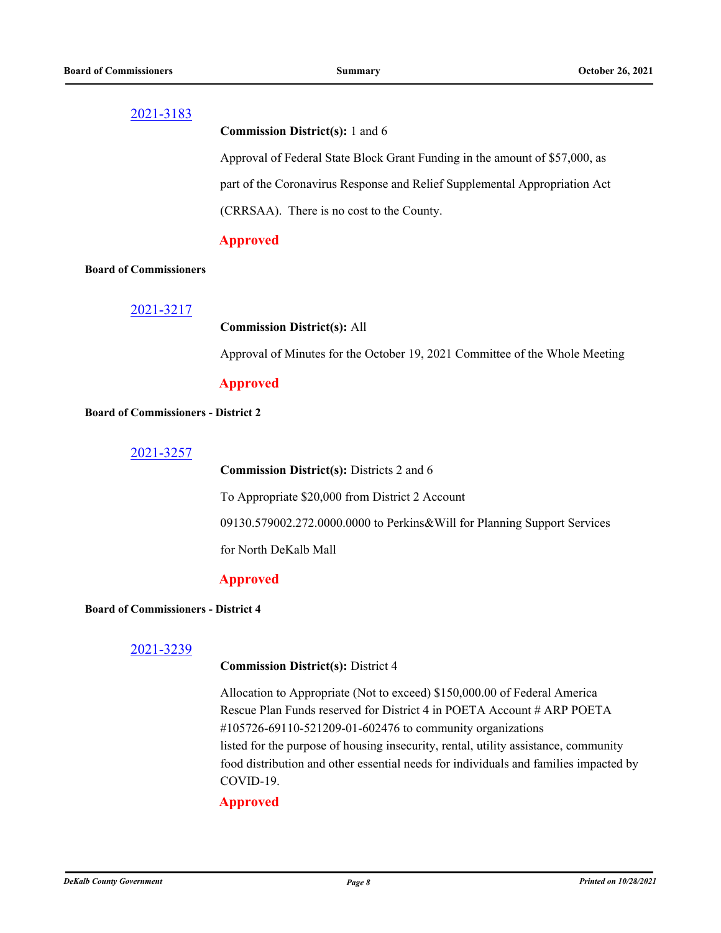**Commission District(s):** 1 and 6

Approval of Federal State Block Grant Funding in the amount of \$57,000, as part of the Coronavirus Response and Relief Supplemental Appropriation Act (CRRSAA). There is no cost to the County.

## **Approved**

### **Board of Commissioners**

[2021-3217](http://dekalbcountyga.legistar.com/gateway.aspx?m=l&id=/matter.aspx?key=9453)

### **Commission District(s):** All

Approval of Minutes for the October 19, 2021 Committee of the Whole Meeting

## **Approved**

### **Board of Commissioners - District 2**

[2021-3257](http://dekalbcountyga.legistar.com/gateway.aspx?m=l&id=/matter.aspx?key=9493)

**Commission District(s):** Districts 2 and 6

To Appropriate \$20,000 from District 2 Account

09130.579002.272.0000.0000 to Perkins&Will for Planning Support Services

for North DeKalb Mall

## **Approved**

### **Board of Commissioners - District 4**

## [2021-3239](http://dekalbcountyga.legistar.com/gateway.aspx?m=l&id=/matter.aspx?key=9475)

### **Commission District(s):** District 4

Allocation to Appropriate (Not to exceed) \$150,000.00 of Federal America Rescue Plan Funds reserved for District 4 in POETA Account # ARP POETA #105726-69110-521209-01-602476 to community organizations listed for the purpose of housing insecurity, rental, utility assistance, community food distribution and other essential needs for individuals and families impacted by COVID-19.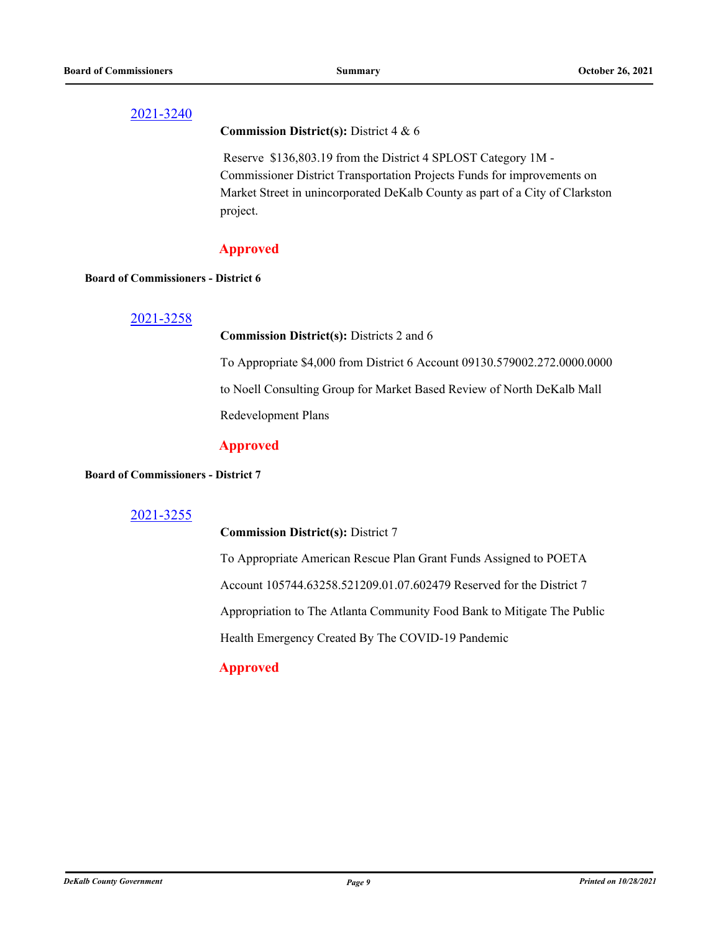### **Commission District(s):** District 4 & 6

 Reserve \$136,803.19 from the District 4 SPLOST Category 1M - Commissioner District Transportation Projects Funds for improvements on Market Street in unincorporated DeKalb County as part of a City of Clarkston project.

## **Approved**

### **Board of Commissioners - District 6**

### [2021-3258](http://dekalbcountyga.legistar.com/gateway.aspx?m=l&id=/matter.aspx?key=9494)

### **Commission District(s):** Districts 2 and 6

To Appropriate \$4,000 from District 6 Account 09130.579002.272.0000.0000 to Noell Consulting Group for Market Based Review of North DeKalb Mall

Redevelopment Plans

## **Approved**

### **Board of Commissioners - District 7**

## [2021-3255](http://dekalbcountyga.legistar.com/gateway.aspx?m=l&id=/matter.aspx?key=9491)

### **Commission District(s):** District 7

To Appropriate American Rescue Plan Grant Funds Assigned to POETA Account 105744.63258.521209.01.07.602479 Reserved for the District 7 Appropriation to The Atlanta Community Food Bank to Mitigate The Public Health Emergency Created By The COVID-19 Pandemic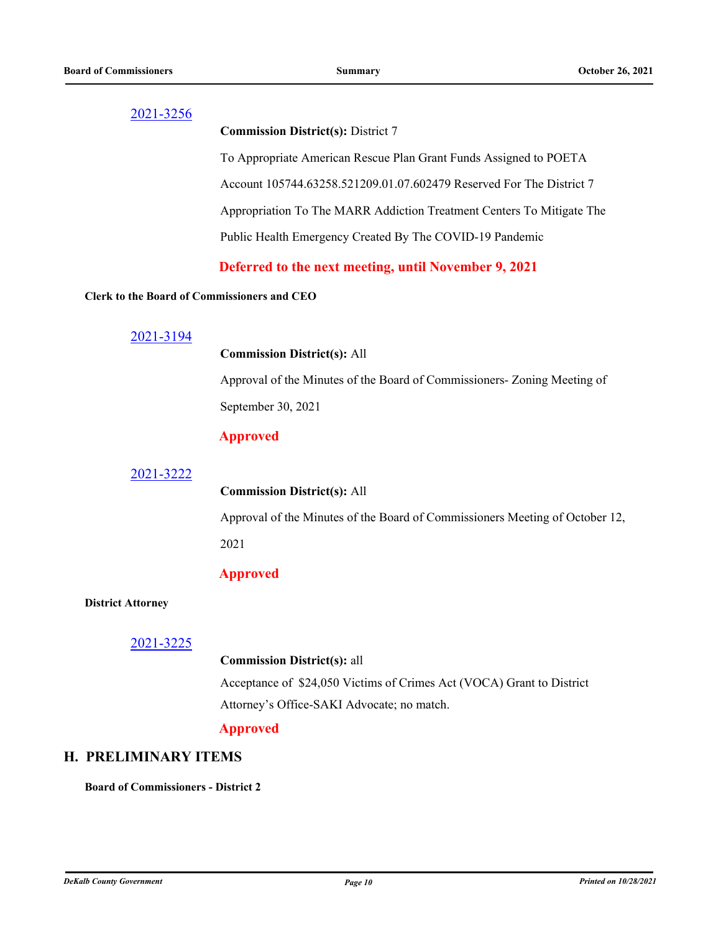### **Commission District(s):** District 7

To Appropriate American Rescue Plan Grant Funds Assigned to POETA Account 105744.63258.521209.01.07.602479 Reserved For The District 7 Appropriation To The MARR Addiction Treatment Centers To Mitigate The Public Health Emergency Created By The COVID-19 Pandemic

## **Deferred to the next meeting, until November 9, 2021**

### **Clerk to the Board of Commissioners and CEO**

## [2021-3194](http://dekalbcountyga.legistar.com/gateway.aspx?m=l&id=/matter.aspx?key=9430)

### **Commission District(s):** All

Approval of the Minutes of the Board of Commissioners- Zoning Meeting of September 30, 2021

## **Approved**

### [2021-3222](http://dekalbcountyga.legistar.com/gateway.aspx?m=l&id=/matter.aspx?key=9458)

### **Commission District(s):** All

Approval of the Minutes of the Board of Commissioners Meeting of October 12, 2021

## **Approved**

### **District Attorney**

## [2021-3225](http://dekalbcountyga.legistar.com/gateway.aspx?m=l&id=/matter.aspx?key=9461)

## **Commission District(s):** all

Acceptance of \$24,050 Victims of Crimes Act (VOCA) Grant to District Attorney's Office-SAKI Advocate; no match.

## **Approved**

## **H. PRELIMINARY ITEMS**

**Board of Commissioners - District 2**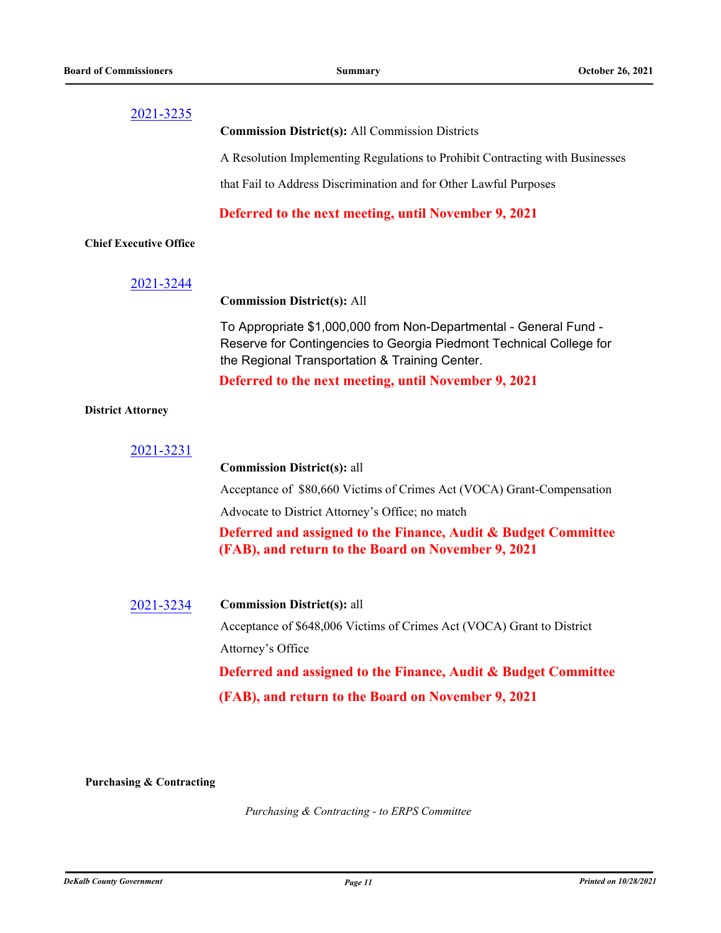| 2021-3235                     |                                                                                                                                                                                            |
|-------------------------------|--------------------------------------------------------------------------------------------------------------------------------------------------------------------------------------------|
|                               | <b>Commission District(s): All Commission Districts</b>                                                                                                                                    |
|                               | A Resolution Implementing Regulations to Prohibit Contracting with Businesses                                                                                                              |
|                               | that Fail to Address Discrimination and for Other Lawful Purposes                                                                                                                          |
|                               | Deferred to the next meeting, until November 9, 2021                                                                                                                                       |
| <b>Chief Executive Office</b> |                                                                                                                                                                                            |
| 2021-3244                     |                                                                                                                                                                                            |
|                               | <b>Commission District(s): All</b>                                                                                                                                                         |
|                               | To Appropriate \$1,000,000 from Non-Departmental - General Fund -<br>Reserve for Contingencies to Georgia Piedmont Technical College for<br>the Regional Transportation & Training Center. |
|                               | Deferred to the next meeting, until November 9, 2021                                                                                                                                       |
| <b>District Attorney</b>      |                                                                                                                                                                                            |
|                               |                                                                                                                                                                                            |
| 2021-3231                     | <b>Commission District(s): all</b>                                                                                                                                                         |
|                               | Acceptance of \$80,660 Victims of Crimes Act (VOCA) Grant-Compensation                                                                                                                     |
|                               | Advocate to District Attorney's Office; no match                                                                                                                                           |
|                               | Deferred and assigned to the Finance, Audit & Budget Committee                                                                                                                             |
|                               | (FAB), and return to the Board on November 9, 2021                                                                                                                                         |
|                               |                                                                                                                                                                                            |
| 2021-3234                     | <b>Commission District(s): all</b>                                                                                                                                                         |
|                               | Acceptance of \$648,006 Victims of Crimes Act (VOCA) Grant to District                                                                                                                     |
|                               | Attorney's Office                                                                                                                                                                          |
|                               | Deferred and assigned to the Finance, Audit & Budget Committee                                                                                                                             |
|                               | (FAB), and return to the Board on November 9, 2021                                                                                                                                         |
|                               |                                                                                                                                                                                            |

**Purchasing & Contracting**

*Purchasing & Contracting - to ERPS Committee*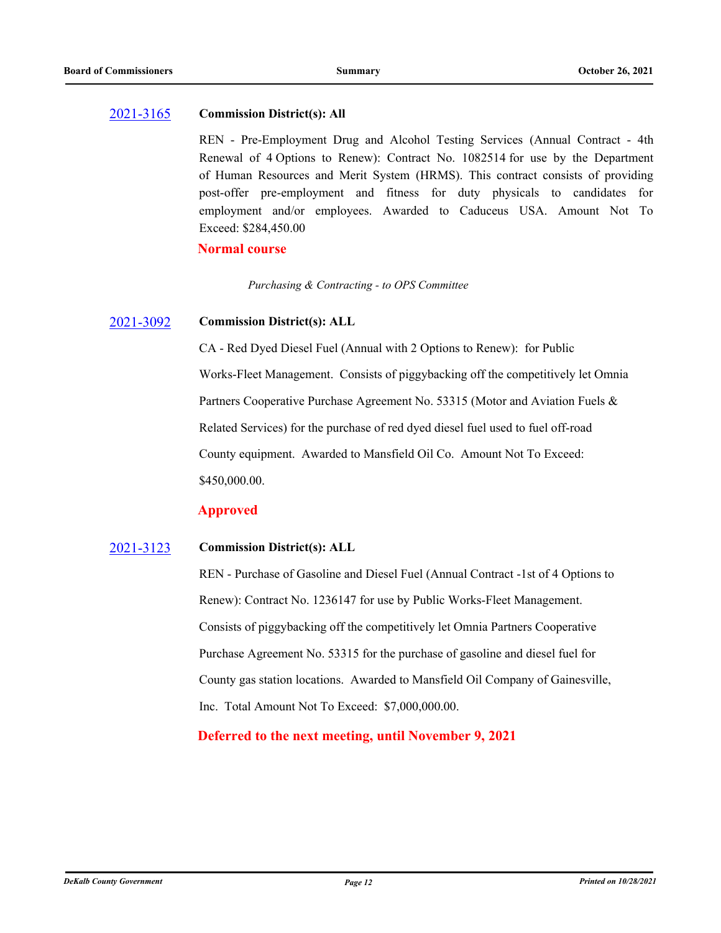### [2021-3165](http://dekalbcountyga.legistar.com/gateway.aspx?m=l&id=/matter.aspx?key=9401) **Commission District(s): All**

REN - Pre-Employment Drug and Alcohol Testing Services (Annual Contract - 4th Renewal of 4 Options to Renew): Contract No. 1082514 for use by the Department of Human Resources and Merit System (HRMS). This contract consists of providing post-offer pre-employment and fitness for duty physicals to candidates for employment and/or employees. Awarded to Caduceus USA. Amount Not To Exceed: \$284,450.00

### **Normal course**

*Purchasing & Contracting - to OPS Committee*

#### [2021-3092](http://dekalbcountyga.legistar.com/gateway.aspx?m=l&id=/matter.aspx?key=9328) **Commission District(s): ALL**

CA - Red Dyed Diesel Fuel (Annual with 2 Options to Renew): for Public Works-Fleet Management. Consists of piggybacking off the competitively let Omnia Partners Cooperative Purchase Agreement No. 53315 (Motor and Aviation Fuels & Related Services) for the purchase of red dyed diesel fuel used to fuel off-road County equipment. Awarded to Mansfield Oil Co. Amount Not To Exceed: \$450,000.00.

## **Approved**

#### [2021-3123](http://dekalbcountyga.legistar.com/gateway.aspx?m=l&id=/matter.aspx?key=9359) **Commission District(s): ALL**

REN - Purchase of Gasoline and Diesel Fuel (Annual Contract -1st of 4 Options to Renew): Contract No. 1236147 for use by Public Works-Fleet Management. Consists of piggybacking off the competitively let Omnia Partners Cooperative Purchase Agreement No. 53315 for the purchase of gasoline and diesel fuel for County gas station locations. Awarded to Mansfield Oil Company of Gainesville, Inc. Total Amount Not To Exceed: \$7,000,000.00.

## **Deferred to the next meeting, until November 9, 2021**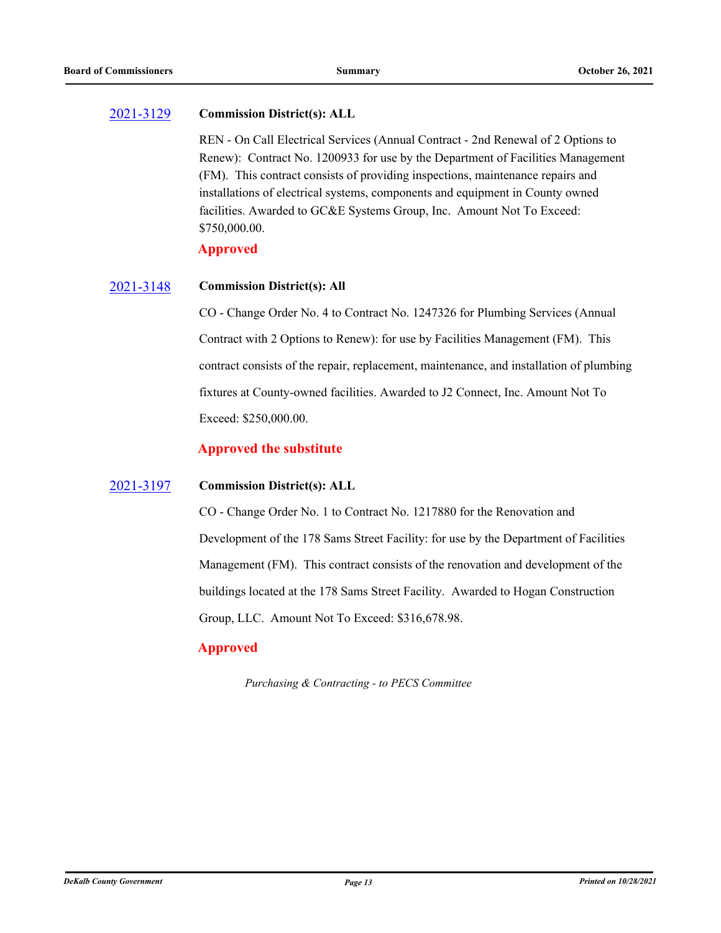#### [2021-3129](http://dekalbcountyga.legistar.com/gateway.aspx?m=l&id=/matter.aspx?key=9365) **Commission District(s): ALL**

REN - On Call Electrical Services (Annual Contract - 2nd Renewal of 2 Options to Renew): Contract No. 1200933 for use by the Department of Facilities Management (FM). This contract consists of providing inspections, maintenance repairs and installations of electrical systems, components and equipment in County owned facilities. Awarded to GC&E Systems Group, Inc. Amount Not To Exceed: \$750,000.00.

### **Approved**

#### [2021-3148](http://dekalbcountyga.legistar.com/gateway.aspx?m=l&id=/matter.aspx?key=9384) **Commission District(s): All**

CO - Change Order No. 4 to Contract No. 1247326 for Plumbing Services (Annual Contract with 2 Options to Renew): for use by Facilities Management (FM). This contract consists of the repair, replacement, maintenance, and installation of plumbing fixtures at County-owned facilities. Awarded to J2 Connect, Inc. Amount Not To Exceed: \$250,000.00.

## **Approved the substitute**

#### [2021-3197](http://dekalbcountyga.legistar.com/gateway.aspx?m=l&id=/matter.aspx?key=9433) **Commission District(s): ALL**

CO - Change Order No. 1 to Contract No. 1217880 for the Renovation and Development of the 178 Sams Street Facility: for use by the Department of Facilities Management (FM). This contract consists of the renovation and development of the buildings located at the 178 Sams Street Facility. Awarded to Hogan Construction Group, LLC. Amount Not To Exceed: \$316,678.98.

## **Approved**

*Purchasing & Contracting - to PECS Committee*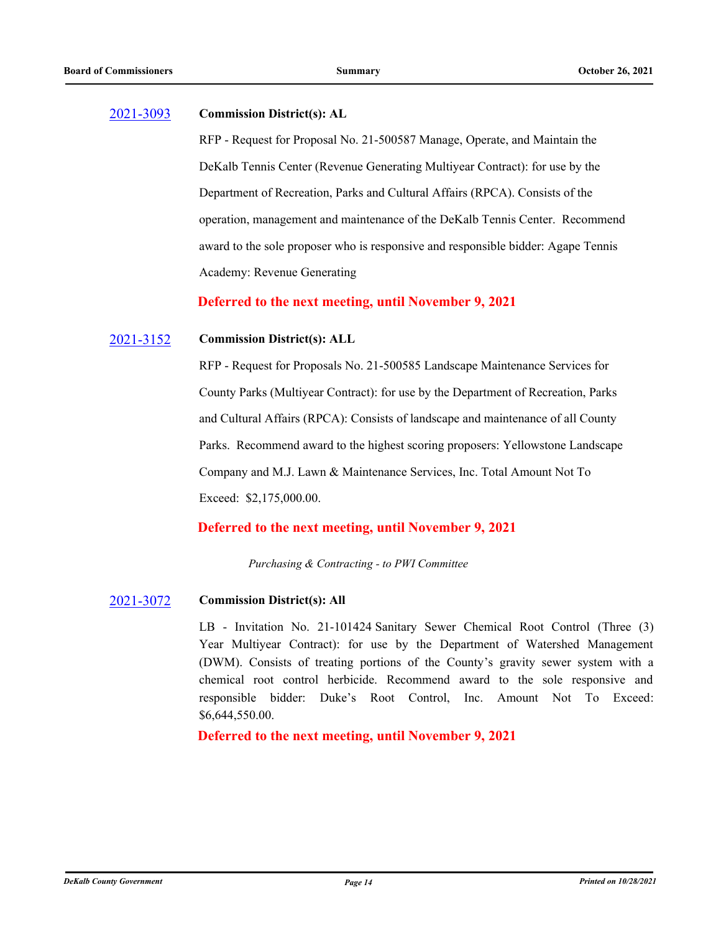#### [2021-3093](http://dekalbcountyga.legistar.com/gateway.aspx?m=l&id=/matter.aspx?key=9329) **Commission District(s): AL**

RFP - Request for Proposal No. 21-500587 Manage, Operate, and Maintain the DeKalb Tennis Center (Revenue Generating Multiyear Contract): for use by the Department of Recreation, Parks and Cultural Affairs (RPCA). Consists of the operation, management and maintenance of the DeKalb Tennis Center. Recommend award to the sole proposer who is responsive and responsible bidder: Agape Tennis Academy: Revenue Generating

**Deferred to the next meeting, until November 9, 2021**

#### [2021-3152](http://dekalbcountyga.legistar.com/gateway.aspx?m=l&id=/matter.aspx?key=9388) **Commission District(s): ALL**

RFP - Request for Proposals No. 21-500585 Landscape Maintenance Services for County Parks (Multiyear Contract): for use by the Department of Recreation, Parks and Cultural Affairs (RPCA): Consists of landscape and maintenance of all County Parks. Recommend award to the highest scoring proposers: Yellowstone Landscape Company and M.J. Lawn & Maintenance Services, Inc. Total Amount Not To Exceed: \$2,175,000.00.

## **Deferred to the next meeting, until November 9, 2021**

*Purchasing & Contracting - to PWI Committee*

## [2021-3072](http://dekalbcountyga.legistar.com/gateway.aspx?m=l&id=/matter.aspx?key=9308) **Commission District(s): All**

LB - Invitation No. 21-101424 Sanitary Sewer Chemical Root Control (Three (3) Year Multiyear Contract): for use by the Department of Watershed Management (DWM). Consists of treating portions of the County's gravity sewer system with a chemical root control herbicide. Recommend award to the sole responsive and responsible bidder: Duke's Root Control, Inc. Amount Not To Exceed: \$6,644,550.00.

**Deferred to the next meeting, until November 9, 2021**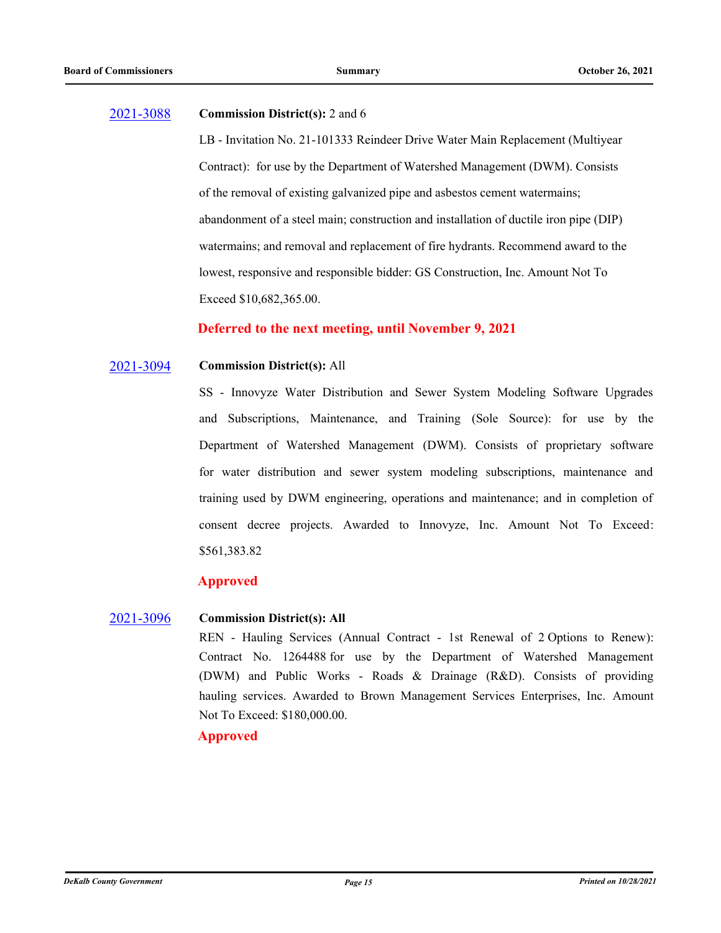#### [2021-3088](http://dekalbcountyga.legistar.com/gateway.aspx?m=l&id=/matter.aspx?key=9324) **Commission District(s):** 2 and 6

LB - Invitation No. 21-101333 Reindeer Drive Water Main Replacement (Multiyear Contract): for use by the Department of Watershed Management (DWM). Consists of the removal of existing galvanized pipe and asbestos cement watermains; abandonment of a steel main; construction and installation of ductile iron pipe (DIP) watermains; and removal and replacement of fire hydrants. Recommend award to the lowest, responsive and responsible bidder: GS Construction, Inc. Amount Not To Exceed \$10,682,365.00.

## **Deferred to the next meeting, until November 9, 2021**

#### [2021-3094](http://dekalbcountyga.legistar.com/gateway.aspx?m=l&id=/matter.aspx?key=9330) **Commission District(s):** All

SS - Innovyze Water Distribution and Sewer System Modeling Software Upgrades and Subscriptions, Maintenance, and Training (Sole Source): for use by the Department of Watershed Management (DWM). Consists of proprietary software for water distribution and sewer system modeling subscriptions, maintenance and training used by DWM engineering, operations and maintenance; and in completion of consent decree projects. Awarded to Innovyze, Inc. Amount Not To Exceed: \$561,383.82

## **Approved**

#### [2021-3096](http://dekalbcountyga.legistar.com/gateway.aspx?m=l&id=/matter.aspx?key=9332) **Commission District(s): All**

REN - Hauling Services (Annual Contract - 1st Renewal of 2 Options to Renew): Contract No. 1264488 for use by the Department of Watershed Management (DWM) and Public Works - Roads & Drainage (R&D). Consists of providing hauling services. Awarded to Brown Management Services Enterprises, Inc. Amount Not To Exceed: \$180,000.00.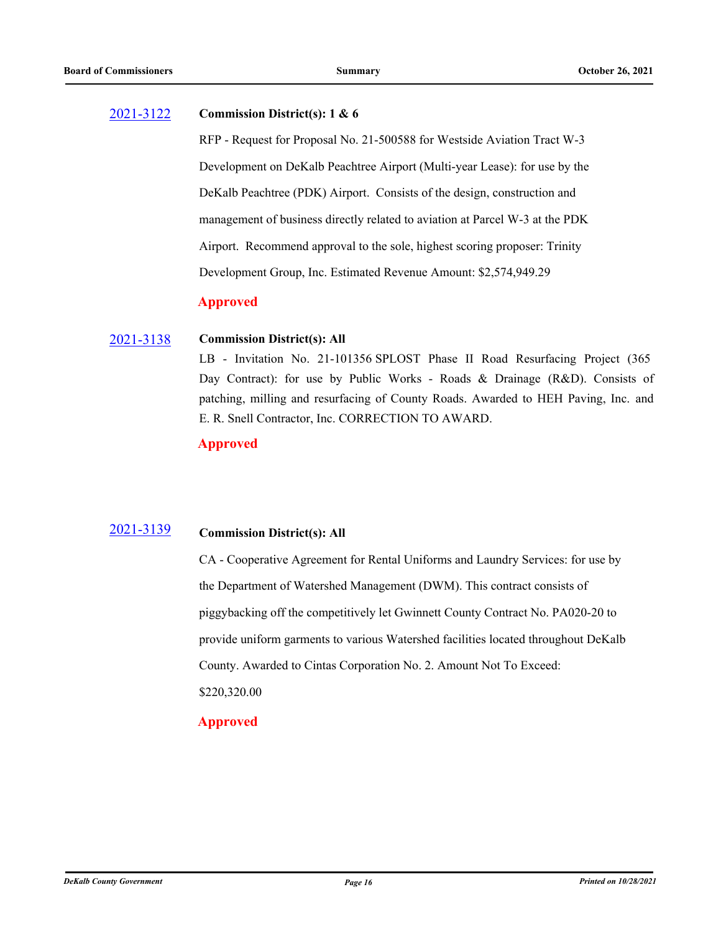#### [2021-3122](http://dekalbcountyga.legistar.com/gateway.aspx?m=l&id=/matter.aspx?key=9358) **Commission District(s): 1 & 6**

RFP - Request for Proposal No. 21-500588 for Westside Aviation Tract W-3 Development on DeKalb Peachtree Airport (Multi-year Lease): for use by the DeKalb Peachtree (PDK) Airport. Consists of the design, construction and management of business directly related to aviation at Parcel W-3 at the PDK Airport. Recommend approval to the sole, highest scoring proposer: Trinity Development Group, Inc. Estimated Revenue Amount: \$2,574,949.29

## **Approved**

#### [2021-3138](http://dekalbcountyga.legistar.com/gateway.aspx?m=l&id=/matter.aspx?key=9374) **Commission District(s): All**

LB - Invitation No. 21-101356 SPLOST Phase II Road Resurfacing Project (365 Day Contract): for use by Public Works - Roads & Drainage (R&D). Consists of patching, milling and resurfacing of County Roads. Awarded to HEH Paving, Inc. and E. R. Snell Contractor, Inc. CORRECTION TO AWARD.

## **Approved**

#### [2021-3139](http://dekalbcountyga.legistar.com/gateway.aspx?m=l&id=/matter.aspx?key=9375) **Commission District(s): All**

CA - Cooperative Agreement for Rental Uniforms and Laundry Services: for use by the Department of Watershed Management (DWM). This contract consists of piggybacking off the competitively let Gwinnett County Contract No. PA020-20 to provide uniform garments to various Watershed facilities located throughout DeKalb County. Awarded to Cintas Corporation No. 2. Amount Not To Exceed: \$220,320.00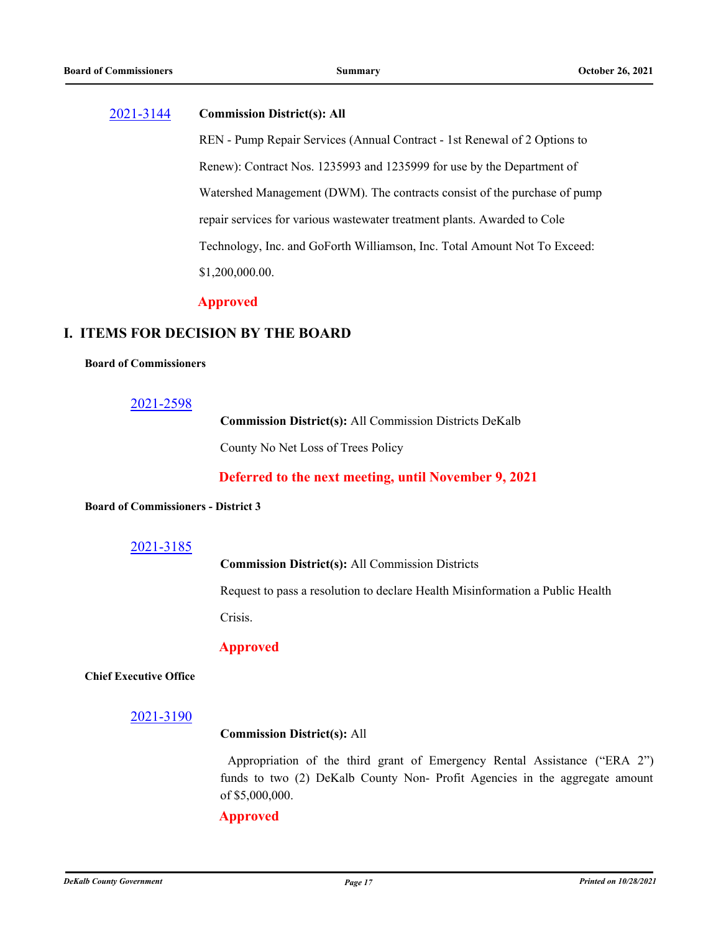### [2021-3144](http://dekalbcountyga.legistar.com/gateway.aspx?m=l&id=/matter.aspx?key=9380) **Commission District(s): All**

REN - Pump Repair Services (Annual Contract - 1st Renewal of 2 Options to Renew): Contract Nos. 1235993 and 1235999 for use by the Department of Watershed Management (DWM). The contracts consist of the purchase of pump repair services for various wastewater treatment plants. Awarded to Cole Technology, Inc. and GoForth Williamson, Inc. Total Amount Not To Exceed: \$1,200,000.00.

### **Approved**

## **I. ITEMS FOR DECISION BY THE BOARD**

### **Board of Commissioners**

### [2021-2598](http://dekalbcountyga.legistar.com/gateway.aspx?m=l&id=/matter.aspx?key=8834)

**Commission District(s):** All Commission Districts DeKalb County No Net Loss of Trees Policy

**Deferred to the next meeting, until November 9, 2021**

### **Board of Commissioners - District 3**

### [2021-3185](http://dekalbcountyga.legistar.com/gateway.aspx?m=l&id=/matter.aspx?key=9421)

**Commission District(s):** All Commission Districts

Request to pass a resolution to declare Health Misinformation a Public Health Crisis.

### **Approved**

### **Chief Executive Office**

### [2021-3190](http://dekalbcountyga.legistar.com/gateway.aspx?m=l&id=/matter.aspx?key=9426)

### **Commission District(s):** All

Appropriation of the third grant of Emergency Rental Assistance ("ERA 2") funds to two (2) DeKalb County Non- Profit Agencies in the aggregate amount of \$5,000,000.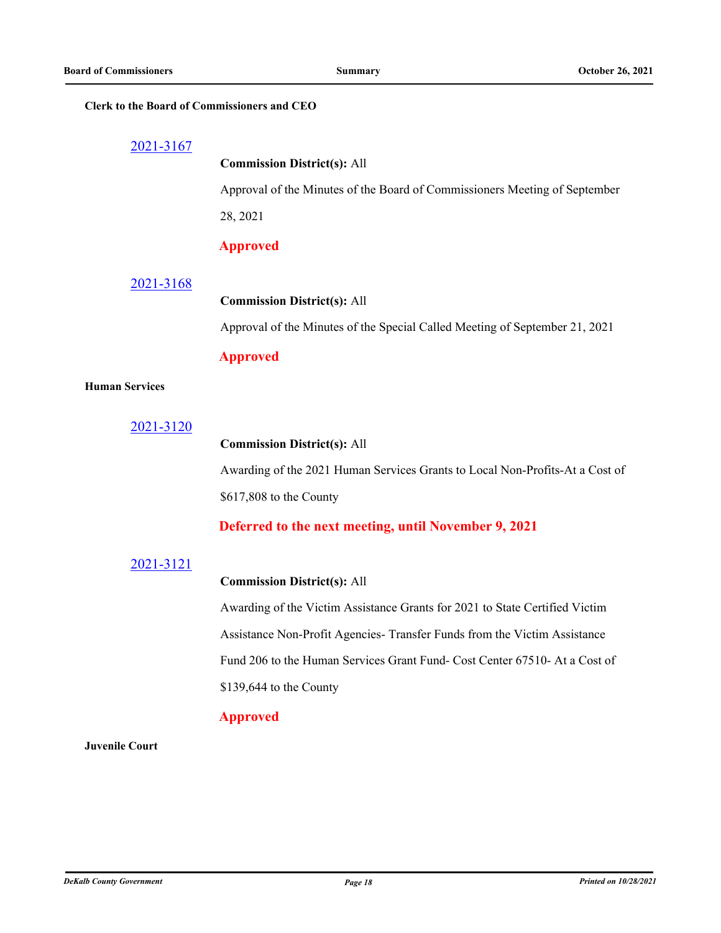### **Clerk to the Board of Commissioners and CEO**

| 2021-3167 |  |
|-----------|--|
|-----------|--|

## **Commission District(s):** All

Approval of the Minutes of the Board of Commissioners Meeting of September

28, 2021

### **Approved**

### [2021-3168](http://dekalbcountyga.legistar.com/gateway.aspx?m=l&id=/matter.aspx?key=9404)

### **Commission District(s):** All

Approval of the Minutes of the Special Called Meeting of September 21, 2021

## **Approved**

### **Human Services**

[2021-3120](http://dekalbcountyga.legistar.com/gateway.aspx?m=l&id=/matter.aspx?key=9356)

### **Commission District(s):** All

Awarding of the 2021 Human Services Grants to Local Non-Profits-At a Cost of \$617,808 to the County

### **Deferred to the next meeting, until November 9, 2021**

### [2021-3121](http://dekalbcountyga.legistar.com/gateway.aspx?m=l&id=/matter.aspx?key=9357)

### **Commission District(s):** All

Awarding of the Victim Assistance Grants for 2021 to State Certified Victim Assistance Non-Profit Agencies- Transfer Funds from the Victim Assistance Fund 206 to the Human Services Grant Fund- Cost Center 67510- At a Cost of \$139,644 to the County

### **Approved**

### **Juvenile Court**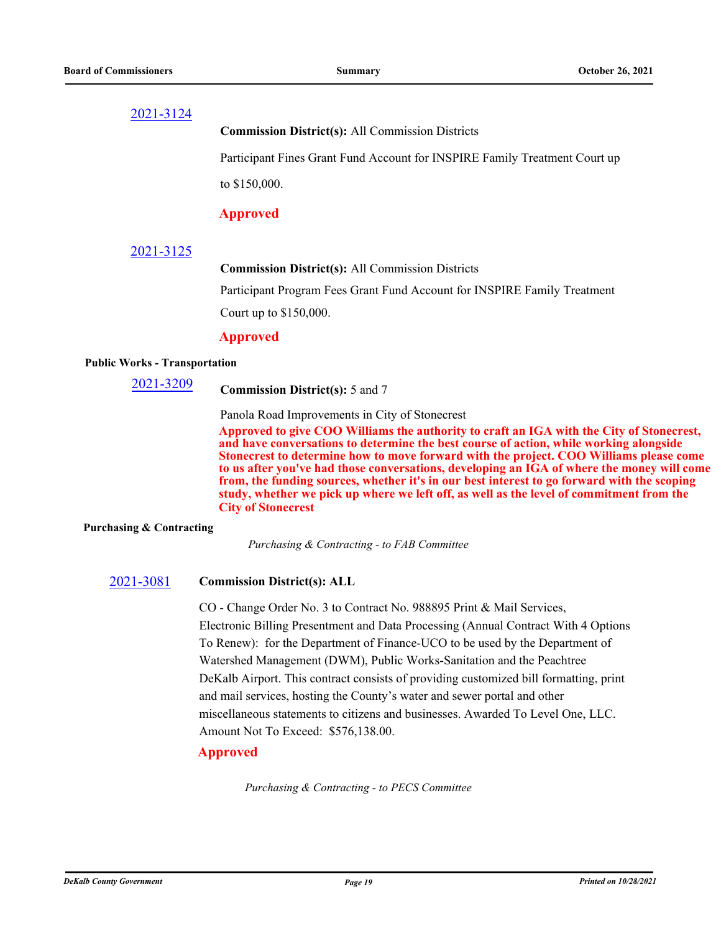**Commission District(s):** All Commission Districts

Participant Fines Grant Fund Account for INSPIRE Family Treatment Court up

to \$150,000.

## **Approved**

## [2021-3125](http://dekalbcountyga.legistar.com/gateway.aspx?m=l&id=/matter.aspx?key=9361)

**Commission District(s):** All Commission Districts

Participant Program Fees Grant Fund Account for INSPIRE Family Treatment

Court up to \$150,000.

### **Approved**

### **Public Works - Transportation**

# 2021-3209 **Commission District(s):** 5 and 7

Panola Road Improvements in City of Stonecrest

**Approved to give COO Williams the authority to craft an IGA with the City of Stonecrest, and have conversations to determine the best course of action, while working alongside Stonecrest to determine how to move forward with the project. COO Williams please come to us after you've had those conversations, developing an IGA of where the money will come from, the funding sources, whether it's in our best interest to go forward with the scoping study, whether we pick up where we left off, as well as the level of commitment from the City of Stonecrest**

### **Purchasing & Contracting**

*Purchasing & Contracting - to FAB Committee*

## [2021-3081](http://dekalbcountyga.legistar.com/gateway.aspx?m=l&id=/matter.aspx?key=9317) **Commission District(s): ALL**

CO - Change Order No. 3 to Contract No. 988895 Print & Mail Services, Electronic Billing Presentment and Data Processing (Annual Contract With 4 Options To Renew): for the Department of Finance-UCO to be used by the Department of Watershed Management (DWM), Public Works-Sanitation and the Peachtree DeKalb Airport. This contract consists of providing customized bill formatting, print and mail services, hosting the County's water and sewer portal and other miscellaneous statements to citizens and businesses. Awarded To Level One, LLC. Amount Not To Exceed: \$576,138.00.

## **Approved**

*Purchasing & Contracting - to PECS Committee*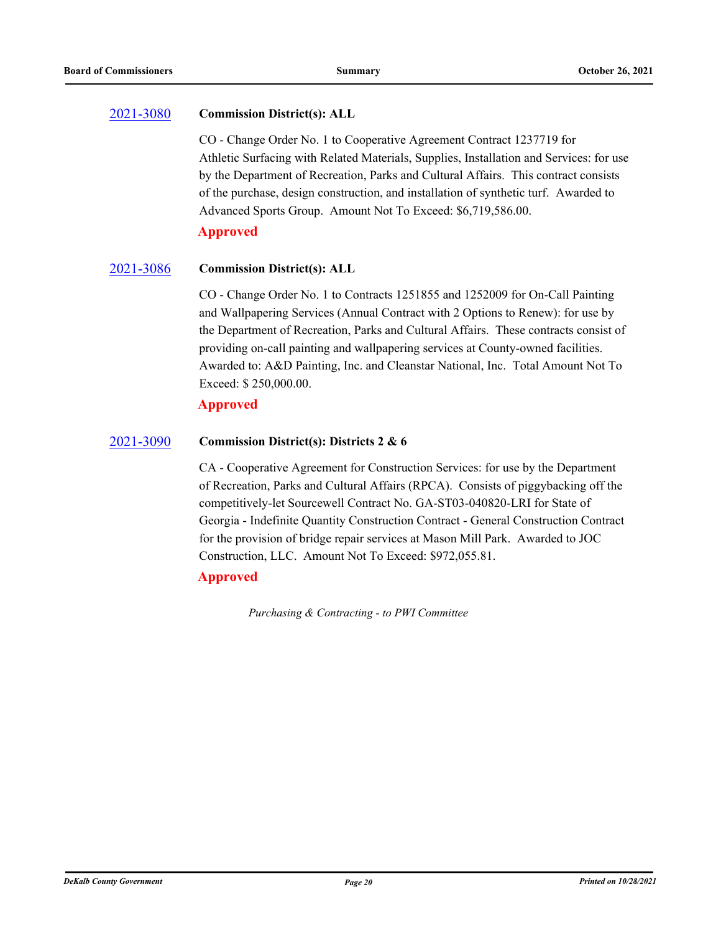#### [2021-3080](http://dekalbcountyga.legistar.com/gateway.aspx?m=l&id=/matter.aspx?key=9316) **Commission District(s): ALL**

CO - Change Order No. 1 to Cooperative Agreement Contract 1237719 for Athletic Surfacing with Related Materials, Supplies, Installation and Services: for use by the Department of Recreation, Parks and Cultural Affairs. This contract consists of the purchase, design construction, and installation of synthetic turf. Awarded to Advanced Sports Group. Amount Not To Exceed: \$6,719,586.00.

**Approved**

#### [2021-3086](http://dekalbcountyga.legistar.com/gateway.aspx?m=l&id=/matter.aspx?key=9322) **Commission District(s): ALL**

CO - Change Order No. 1 to Contracts 1251855 and 1252009 for On-Call Painting and Wallpapering Services (Annual Contract with 2 Options to Renew): for use by the Department of Recreation, Parks and Cultural Affairs. These contracts consist of providing on-call painting and wallpapering services at County-owned facilities. Awarded to: A&D Painting, Inc. and Cleanstar National, Inc. Total Amount Not To Exceed: \$ 250,000.00.

## **Approved**

#### [2021-3090](http://dekalbcountyga.legistar.com/gateway.aspx?m=l&id=/matter.aspx?key=9326) **Commission District(s): Districts 2 & 6**

CA - Cooperative Agreement for Construction Services: for use by the Department of Recreation, Parks and Cultural Affairs (RPCA). Consists of piggybacking off the competitively-let Sourcewell Contract No. GA-ST03-040820-LRI for State of Georgia - Indefinite Quantity Construction Contract - General Construction Contract for the provision of bridge repair services at Mason Mill Park. Awarded to JOC Construction, LLC. Amount Not To Exceed: \$972,055.81.

## **Approved**

*Purchasing & Contracting - to PWI Committee*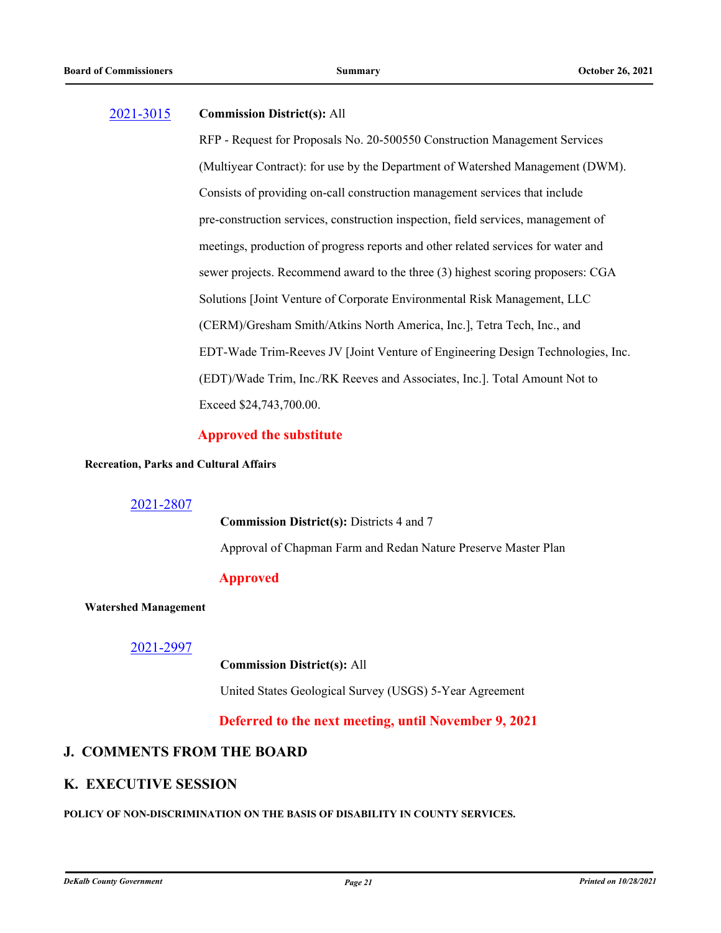### [2021-3015](http://dekalbcountyga.legistar.com/gateway.aspx?m=l&id=/matter.aspx?key=9251) **Commission District(s):** All

RFP - Request for Proposals No. 20-500550 Construction Management Services (Multiyear Contract): for use by the Department of Watershed Management (DWM). Consists of providing on-call construction management services that include pre-construction services, construction inspection, field services, management of meetings, production of progress reports and other related services for water and sewer projects. Recommend award to the three (3) highest scoring proposers: CGA Solutions [Joint Venture of Corporate Environmental Risk Management, LLC (CERM)/Gresham Smith/Atkins North America, Inc.], Tetra Tech, Inc., and EDT-Wade Trim-Reeves JV [Joint Venture of Engineering Design Technologies, Inc. (EDT)/Wade Trim, Inc./RK Reeves and Associates, Inc.]. Total Amount Not to Exceed \$24,743,700.00.

## **Approved the substitute**

### **Recreation, Parks and Cultural Affairs**

## [2021-2807](http://dekalbcountyga.legistar.com/gateway.aspx?m=l&id=/matter.aspx?key=9043)

**Commission District(s):** Districts 4 and 7 Approval of Chapman Farm and Redan Nature Preserve Master Plan

## **Approved**

### **Watershed Management**

## [2021-2997](http://dekalbcountyga.legistar.com/gateway.aspx?m=l&id=/matter.aspx?key=9233)

### **Commission District(s):** All

United States Geological Survey (USGS) 5-Year Agreement

**Deferred to the next meeting, until November 9, 2021**

## **J. COMMENTS FROM THE BOARD**

## **K. EXECUTIVE SESSION**

### **POLICY OF NON-DISCRIMINATION ON THE BASIS OF DISABILITY IN COUNTY SERVICES.**